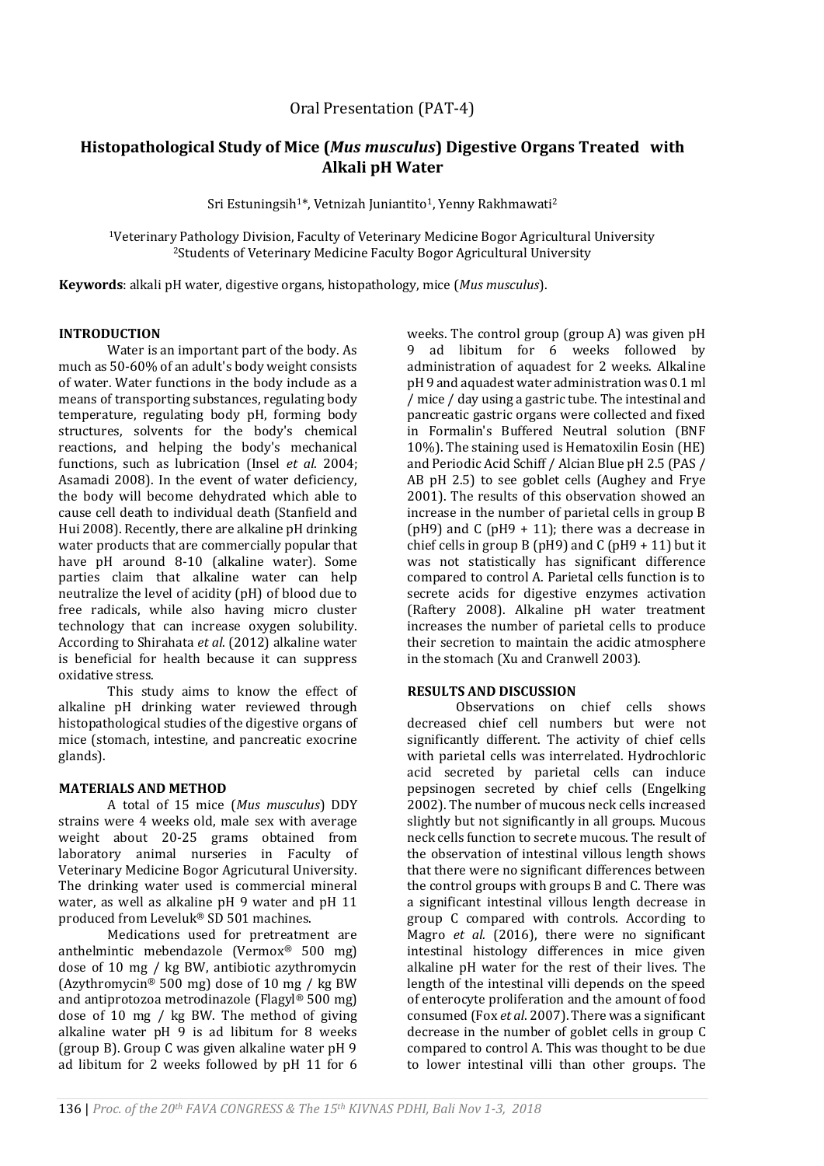# **Histopathological Study of Mice (***Mus musculus***) Digestive Organs Treated with Alkali pH Water**

Sri Estuningsih<sup>1\*</sup>, Vetnizah Juniantito<sup>1</sup>, Yenny Rakhmawati<sup>2</sup>

<sup>1</sup>Veterinary Pathology Division, Faculty of Veterinary Medicine Bogor Agricultural University <sup>2</sup>Students of Veterinary Medicine Faculty Bogor Agricultural University

**Keywords**: alkali pH water, digestive organs, histopathology, mice (*Mus musculus*).

#### **INTRODUCTION**

Water is an important part of the body. As much as 50-60% of an adult's body weight consists of water. Water functions in the body include as a means of transporting substances, regulating body temperature, regulating body pH, forming body structures, solvents for the body's chemical reactions, and helping the body's mechanical functions, such as lubrication (Insel *et al*. 2004; Asamadi 2008). In the event of water deficiency, the body will become dehydrated which able to cause cell death to individual death (Stanfield and Hui 2008). Recently, there are alkaline pH drinking water products that are commercially popular that have pH around 8-10 (alkaline water). Some parties claim that alkaline water can help neutralize the level of acidity (pH) of blood due to free radicals, while also having micro cluster technology that can increase oxygen solubility. According to Shirahata *et al*. (2012) alkaline water is beneficial for health because it can suppress oxidative stress.

This study aims to know the effect of alkaline pH drinking water reviewed through histopathological studies of the digestive organs of mice (stomach, intestine, and pancreatic exocrine glands).

## **MATERIALS AND METHOD**

A total of 15 mice (*Mus musculus*) DDY strains were 4 weeks old, male sex with average weight about 20-25 grams obtained from laboratory animal nurseries in Faculty of Veterinary Medicine Bogor Agricutural University. The drinking water used is commercial mineral water, as well as alkaline pH 9 water and pH 11 produced from Leveluk® SD 501 machines.

Medications used for pretreatment are anthelmintic mebendazole (Vermox® 500 mg) dose of 10 mg / kg BW, antibiotic azythromycin (Azythromycin® 500 mg) dose of 10 mg / kg BW and antiprotozoa metrodinazole (Flagyl® 500 mg) dose of 10 mg / kg BW. The method of giving alkaline water pH 9 is ad libitum for 8 weeks (group B). Group C was given alkaline water pH 9 ad libitum for 2 weeks followed by pH 11 for 6

weeks. The control group (group A) was given pH 9 ad libitum for 6 weeks followed by administration of aquadest for 2 weeks. Alkaline pH 9 and aquadest water administration was 0.1 ml / mice / day using a gastric tube. The intestinal and pancreatic gastric organs were collected and fixed in Formalin's Buffered Neutral solution (BNF 10%). The staining used is Hematoxilin Eosin (HE) and Periodic Acid Schiff / Alcian Blue pH 2.5 (PAS / AB pH 2.5) to see goblet cells (Aughey and Frye 2001). The results of this observation showed an increase in the number of parietal cells in group B (pH9) and  $C$  (pH9 + 11); there was a decrease in chief cells in group B (pH9) and C (pH9 + 11) but it was not statistically has significant difference compared to control A. Parietal cells function is to secrete acids for digestive enzymes activation (Raftery 2008). Alkaline pH water treatment increases the number of parietal cells to produce their secretion to maintain the acidic atmosphere in the stomach (Xu and Cranwell 2003).

## **RESULTS AND DISCUSSION**

Observations on chief cells shows decreased chief cell numbers but were not significantly different. The activity of chief cells with parietal cells was interrelated. Hydrochloric acid secreted by parietal cells can induce pepsinogen secreted by chief cells (Engelking 2002). The number of mucous neck cells increased slightly but not significantly in all groups. Mucous neck cells function to secrete mucous. The result of the observation of intestinal villous length shows that there were no significant differences between the control groups with groups B and C. There was a significant intestinal villous length decrease in group C compared with controls. According to Magro *et al.* (2016), there were no significant intestinal histology differences in mice given alkaline pH water for the rest of their lives. The length of the intestinal villi depends on the speed of enterocyte proliferation and the amount of food consumed (Fox *et al*. 2007). There was a significant decrease in the number of goblet cells in group C compared to control A. This was thought to be due to lower intestinal villi than other groups. The